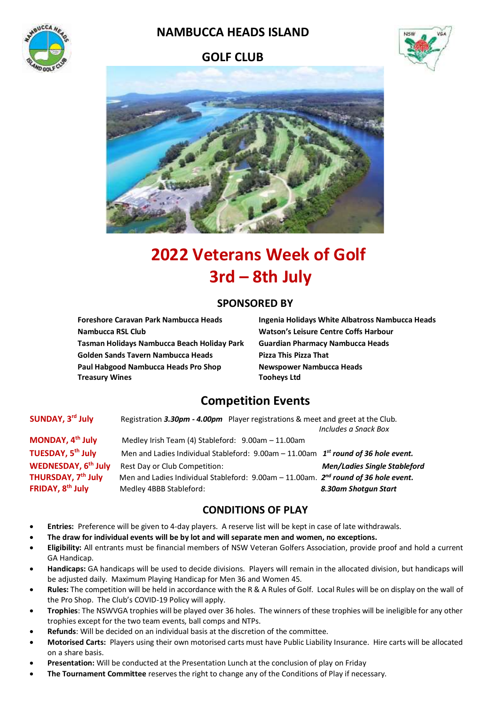

## **NAMBUCCA HEADS ISLAND**

## **GOLF CLUB**





# **2022 Veterans Week of Golf 3rd – 8th July**

### **SPONSORED BY**

**Nambucca RSL Club Watson's Leisure Centre Coffs Harbour Tasman Holidays Nambucca Beach Holiday Park Guardian Pharmacy Nambucca Heads Golden Sands Tavern Nambucca Heads Pizza This Pizza That Paul Habgood Nambucca Heads Pro Shop Newspower Nambucca Heads Treasury Wines** Tooheys Ltd

**Foreshore Caravan Park Nambucca Heads Ingenia Holidays White Albatross Nambucca Heads** 

## **Competition Events**

**SUNDAY, 3** Registration 3.30pm - 4.00pm Player registrations & meet and greet at the Club. *Includes a Snack Box* **MONDAY, 4 th July** Medley Irish Team (4) Stableford: 9.00am – 11.00am **TUESDAY, 5 th July** Men and Ladies Individual Stableford: 9.00am – 11.00am *1 st round of 36 hole event.* **WEDNESDAY, 6 th July** Rest Day or Club Competition: *Men/Ladies Single Stableford* **THURSDAY, 7 th July** Men and Ladies Individual Stableford: 9.00am – 11.00am. *2 nd round of 36 hole event.* **FRIDAY, 8 th July** Medley 4BBB Stableford: *8.30am Shotgun Start*

## **CONDITIONS OF PLAY**

- **Entries:** Preference will be given to 4-day players. A reserve list will be kept in case of late withdrawals.
- **The draw for individual events will be by lot and will separate men and women, no exceptions.**
- **Eligibility:** All entrants must be financial members of NSW Veteran Golfers Association, provide proof and hold a current GA Handicap.
- **Handicaps:** GA handicaps will be used to decide divisions. Players will remain in the allocated division, but handicaps will be adjusted daily. Maximum Playing Handicap for Men 36 and Women 45.
- **Rules:** The competition will be held in accordance with the R & A Rules of Golf. Local Rules will be on display on the wall of the Pro Shop. The Club's COVID-19 Policy will apply.
- **Trophies**: The NSWVGA trophies will be played over 36 holes. The winners of these trophies will be ineligible for any other trophies except for the two team events, ball comps and NTPs.
- **Refunds**: Will be decided on an individual basis at the discretion of the committee.
- **Motorised Carts:** Players using their own motorised carts must have Public Liability Insurance. Hire carts will be allocated on a share basis.
- **Presentation:** Will be conducted at the Presentation Lunch at the conclusion of play on Friday
- **The Tournament Committee** reserves the right to change any of the Conditions of Play if necessary.